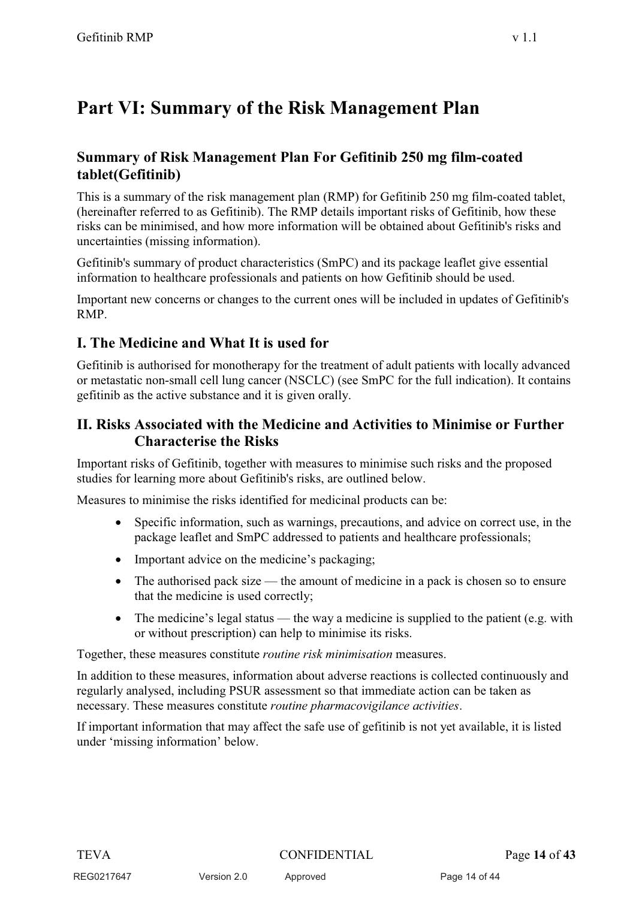# **Part VI: Summary of the Risk Management Plan**

### **Summary of Risk Management Plan For Gefitinib 250 mg film-coated tablet(Gefitinib)**

This is a summary of the risk management plan (RMP) for Gefitinib 250 mg film-coated tablet, (hereinafter referred to as Gefitinib). The RMP details important risks of Gefitinib, how these risks can be minimised, and how more information will be obtained about Gefitinib's risks and uncertainties (missing information).

Gefitinib's summary of product characteristics (SmPC) and its package leaflet give essential information to healthcare professionals and patients on how Gefitinib should be used.

Important new concerns or changes to the current ones will be included in updates of Gefitinib's RMP.

### **I. The Medicine and What It is used for**

Gefitinib is authorised for monotherapy for the treatment of adult patients with locally advanced or metastatic non-small cell lung cancer (NSCLC) (see SmPC for the full indication). It contains gefitinib as the active substance and it is given orally.

### **II. Risks Associated with the Medicine and Activities to Minimise or Further Characterise the Risks**

Important risks of Gefitinib, together with measures to minimise such risks and the proposed studies for learning more about Gefitinib's risks, are outlined below.

Measures to minimise the risks identified for medicinal products can be:

- $\bullet$  Specific information, such as warnings, precautions, and advice on correct use, in the package leaflet and SmPC addressed to patients and healthcare professionals;
- $\bullet$ Important advice on the medicine's packaging;
- $\bullet$  The authorised pack size — the amount of medicine in a pack is chosen so to ensure that the medicine is used correctly;
- $\bullet$  The medicine's legal status — the way a medicine is supplied to the patient (e.g. with or without prescription) can help to minimise its risks.

Together, these measures constitute *routine risk minimisation* measures.

Version 2.0 Approved

In addition to these measures, information about adverse reactions is collected continuously and regularly analysed, including PSUR assessment so that immediate action can be taken as necessary. These measures constitute *routine pharmacovigilance activities*.

If important information that may affect the safe use of gefitinib is not yet available, it is listed under 'missing information' below.

Version 2.0 Approved Page 14 of 44